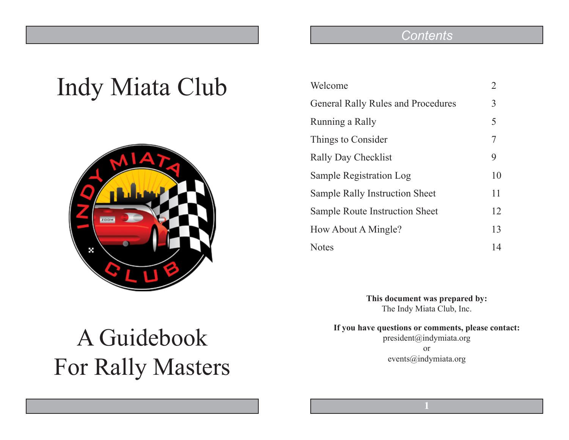## Indy Miata Club



## *Contents*

| Welcome                                   | $\overline{2}$ |
|-------------------------------------------|----------------|
| <b>General Rally Rules and Procedures</b> | 3              |
| Running a Rally                           | 5              |
| Things to Consider                        | 7              |
| <b>Rally Day Checklist</b>                | 9              |
| Sample Registration Log                   | 10             |
| Sample Rally Instruction Sheet            | 11             |
| Sample Route Instruction Sheet            | 12             |
| How About A Mingle?                       | 13             |
| <b>Notes</b>                              | 14             |

**This document was prepared by:** The Indy Miata Club, Inc.

**If you have questions or comments, please contact:** president@indymiata.org or events@indymiata.org

# A Guidebook For Rally Masters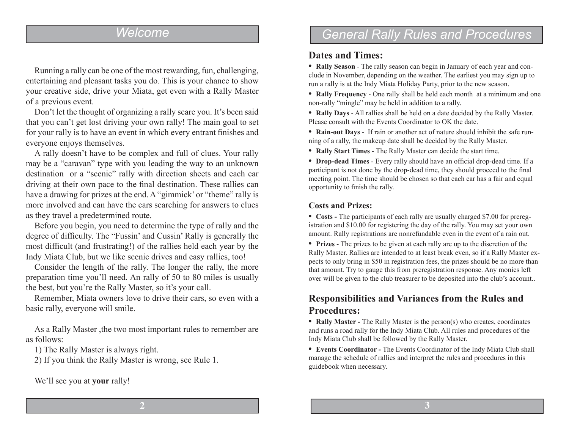## *Welcome*

Running a rally can be one of the most rewarding, fun, challenging, entertaining and pleasant tasks you do. This is your chance to show your creative side, drive your Miata, get even with a Rally Master of a previous event.

Don't let the thought of organizing a rally scare you. It's been said that you can't get lost driving your own rally! The main goal to set for your rally is to have an event in which every entrant finishes and everyone enjoys themselves.

A rally doesn't have to be complex and full of clues. Your rally may be a "caravan" type with you leading the way to an unknown destination or a "scenic" rally with direction sheets and each car driving at their own pace to the final destination. These rallies can have a drawing for prizes at the end. A "gimmick' or "theme" rally is more involved and can have the cars searching for answers to clues as they travel a predetermined route.

Before you begin, you need to determine the type of rally and the degree of difficulty. The "Fussin' and Cussin' Rally is generally the most difficult (and frustrating!) of the rallies held each year by the Indy Miata Club, but we like scenic drives and easy rallies, too!

Consider the length of the rally. The longer the rally, the more preparation time you'll need. An rally of 50 to 80 miles is usually the best, but you're the Rally Master, so it's your call.

Remember, Miata owners love to drive their cars, so even with a basic rally, everyone will smile.

As a Rally Master ,the two most important rules to remember are as follows:

1) The Rally Master is always right.

2) If you think the Rally Master is wrong, see Rule 1.

We'll see you at **your** rally!

## *General Rally Rules and Procedures*

#### **Dates and Times:**

• **Rally Season** - The rally season can begin in January of each year and conclude in November, depending on the weather. The earliest you may sign up to run a rally is at the Indy Miata Holiday Party, prior to the new season.

• **Rally Frequency** - One rally shall be held each month at a minimum and one non-rally "mingle" may be held in addition to a rally.

• **Rally Days** - All rallies shall be held on a date decided by the Rally Master. Please consult with the Events Coordinator to OK the date.

• **Rain-out Days** - If rain or another act of nature should inhibit the safe running of a rally, the makeup date shall be decided by the Rally Master.

• **Rally Start Times** - The Rally Master can decide the start time.

• **Drop-dead Times** - Every rally should have an official drop-dead time. If a participant is not done by the drop-dead time, they should proceed to the final meeting point. The time should be chosen so that each car has a fair and equal opportunity to finish the rally.

#### **Costs and Prizes:**

• **Costs -** The participants of each rally are usually charged \$7.00 for preregistration and \$10.00 for registering the day of the rally. You may set your own amount. Rally registrations are nonrefundable even in the event of a rain out.

• **Prizes** - The prizes to be given at each rally are up to the discretion of the Rally Master. Rallies are intended to at least break even, so if a Rally Master expects to only bring in \$50 in registration fees, the prizes should be no more than that amount. Try to gauge this from preregistration response. Any monies left over will be given to the club treasurer to be deposited into the club's account..

### **Responsibilities and Variances from the Rules and Procedures:**

**• Rally Master -** The Rally Master is the person(s) who creates, coordinates and runs a road rally for the Indy Miata Club. All rules and procedures of the Indy Miata Club shall be followed by the Rally Master.

**• Events Coordinator -** The Events Coordinator of the Indy Miata Club shall manage the schedule of rallies and interpret the rules and procedures in this guidebook when necessary.

**2**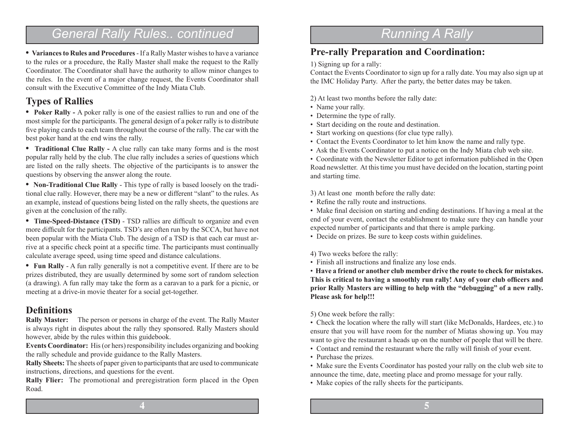## *General Rally Rules.. continued*

**• Variances to Rules and Procedures** - If a Rally Master wishes to have a variance to the rules or a procedure, the Rally Master shall make the request to the Rally Coordinator. The Coordinator shall have the authority to allow minor changes to the rules. In the event of a major change request, the Events Coordinator shall consult with the Executive Committee of the Indy Miata Club.

### **Types of Rallies**

**• Poker Rally -** A poker rally is one of the easiest rallies to run and one of the most simple for the participants. The general design of a poker rally is to distribute five playing cards to each team throughout the course of the rally. The car with the best poker hand at the end wins the rally.

• **Traditional Clue Rally -** A clue rally can take many forms and is the most popular rally held by the club. The clue rally includes a series of questions which are listed on the rally sheets. The objective of the participants is to answer the questions by observing the answer along the route.

**• Non-Traditional Clue Rally** - This type of rally is based loosely on the traditional clue rally. However, there may be a new or different "slant" to the rules. As an example, instead of questions being listed on the rally sheets, the questions are given at the conclusion of the rally.

**• Time-Speed-Distance (TSD)** - TSD rallies are difficult to organize and even more difficult for the participants. TSD's are often run by the SCCA, but have not been popular with the Miata Club. The design of a TSD is that each car must arrive at a specific check point at a specific time. The participants must continually calculate average speed, using time speed and distance calculations.

**• Fun Rally** - A fun rally generally is not a competitive event. If there are to be prizes distributed, they are usually determined by some sort of random selection (a drawing). A fun rally may take the form as a caravan to a park for a picnic, or meeting at a drive-in movie theater for a social get-together.

#### **Definitions**

**Rally Master:** The person or persons in charge of the event. The Rally Master is always right in disputes about the rally they sponsored. Rally Masters should however, abide by the rules within this guidebook.

**Events Coordinator:** His (or hers) responsibility includes organizing and booking the rally schedule and provide guidance to the Rally Masters.

**Rally Sheets:** The sheets of paper given to participants that are used to communicate instructions, directions, and questions for the event.

**Rally Flier:** The promotional and preregistration form placed in the Open Road.

## *Running A Rally*

### **Pre-rally Preparation and Coordination:**

1) Signing up for a rally:

Contact the Events Coordinator to sign up for a rally date. You may also sign up at the IMC Holiday Party. After the party, the better dates may be taken.

2) At least two months before the rally date:

- Name your rally.
- Determine the type of rally.
- Start deciding on the route and destination.
- Start working on questions (for clue type rally).
- Contact the Events Coordinator to let him know the name and rally type.
- Ask the Events Coordinator to put a notice on the Indy Miata club web site.

• Coordinate with the Newsletter Editor to get information published in the Open Road newsletter. At this time you must have decided on the location, starting point and starting time.

3) At least one month before the rally date:

• Refine the rally route and instructions.

• Make final decision on starting and ending destinations. If having a meal at the end of your event, contact the establishment to make sure they can handle your expected number of participants and that there is ample parking.

• Decide on prizes. Be sure to keep costs within guidelines.

#### 4) Two weeks before the rally:

• Finish all instructions and finalize any lose ends.

• **Have a friend or another club member drive the route to check for mistakes. This is critical to having a smoothly run rally! Any of your club officers and prior Rally Masters are willing to help with the "debugging" of a new rally. Please ask for help!!!**

5) One week before the rally:

• Check the location where the rally will start (like McDonalds, Hardees, etc.) to ensure that you will have room for the number of Miatas showing up. You may want to give the restaurant a heads up on the number of people that will be there.

- Contact and remind the restaurant where the rally will finish of your event.
- Purchase the prizes.

• Make sure the Events Coordinator has posted your rally on the club web site to announce the time, date, meeting place and promo message for your rally.

• Make copies of the rally sheets for the participants.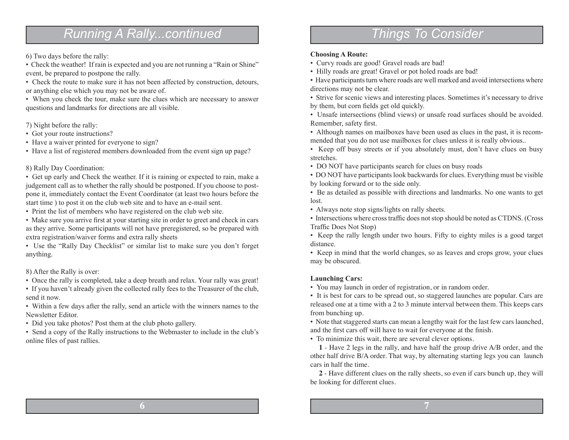## *Running A Rally...continued*

#### 6) Two days before the rally:

• Check the weather! If rain is expected and you are not running a "Rain or Shine" event, be prepared to postpone the rally.

• Check the route to make sure it has not been affected by construction, detours, or anything else which you may not be aware of.

• When you check the tour, make sure the clues which are necessary to answer questions and landmarks for directions are all visible.

7) Night before the rally:

- Got your route instructions?
- Have a waiver printed for everyone to sign?
- Have a list of registered members downloaded from the event sign up page?

#### 8) Rally Day Coordination:

• Get up early and Check the weather. If it is raining or expected to rain, make a judgement call as to whether the rally should be postponed. If you choose to postpone it, immediately contact the Event Coordinator (at least two hours before the start time ) to post it on the club web site and to have an e-mail sent.

• Print the list of members who have registered on the club web site.

• Make sure you arrive first at your starting site in order to greet and check in cars as they arrive. Some participants will not have preregistered, so be prepared with extra registration/waiver forms and extra rally sheets

• Use the "Rally Day Checklist" or similar list to make sure you don't forget anything.

8) After the Rally is over:

• Once the rally is completed, take a deep breath and relax. Your rally was great!

• If you haven't already given the collected rally fees to the Treasurer of the club, send it now.

• Within a few days after the rally, send an article with the winners names to the Newsletter Editor.

• Did you take photos? Post them at the club photo gallery.

• Send a copy of the Rally instructions to the Webmaster to include in the club's online files of past rallies.

## *Things To Consider*

#### **Choosing A Route:**

- Curvy roads are good! Gravel roads are bad!
- Hilly roads are great! Gravel or pot holed roads are bad!

• Have participants turn where roads are well marked and avoid intersections where directions may not be clear.

• Strive for scenic views and interesting places. Sometimes it's necessary to drive by them, but corn fields get old quickly.

• Unsafe intersections (blind views) or unsafe road surfaces should be avoided. Remember, safety first.

• Although names on mailboxes have been used as clues in the past, it is recommended that you do not use mailboxes for clues unless it is really obvious..

• Keep off busy streets or if you absolutely must, don't have clues on busy stretches.

• DO NOT have participants search for clues on busy roads

• DO NOT have participants look backwards for clues. Everything must be visible by looking forward or to the side only.

• Be as detailed as possible with directions and landmarks. No one wants to get lost.

• Always note stop signs/lights on rally sheets.

• Intersections where cross traffic does not stop should be noted as CTDNS. (Cross Traffic Does Not Stop)

• Keep the rally length under two hours. Fifty to eighty miles is a good target distance.

• Keep in mind that the world changes, so as leaves and crops grow, your clues may be obscured.

#### **Launching Cars:**

• You may launch in order of registration, or in random order.

• It is best for cars to be spread out, so staggered launches are popular. Cars are released one at a time with a 2 to 3 minute interval between them. This keeps cars from bunching up.

• Note that staggered starts can mean a lengthy wait for the last few cars launched, and the first cars off will have to wait for everyone at the finish.

• To minimize this wait, there are several clever options.

**1** - Have 2 legs in the rally, and have half the group drive A/B order, and the other half drive B/A order. That way, by alternating starting legs you can launch cars in half the time.

**2** - Have different clues on the rally sheets, so even if cars bunch up, they will be looking for different clues.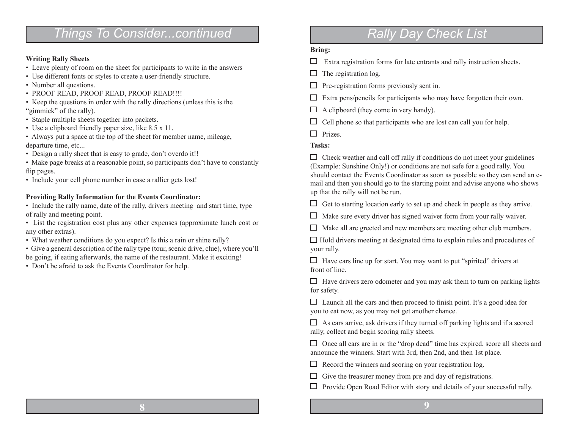## *Things To Consider...continued*

#### **Writing Rally Sheets**

- Leave plenty of room on the sheet for participants to write in the answers
- Use different fonts or styles to create a user-friendly structure.
- Number all questions.
- PROOF READ, PROOF READ, PROOF READ!!!!
- Keep the questions in order with the rally directions (unless this is the "gimmick" of the rally).
- Staple multiple sheets together into packets.
- Use a clipboard friendly paper size, like 8.5 x 11.
- Always put a space at the top of the sheet for member name, mileage, departure time, etc...
- Design a rally sheet that is easy to grade, don't overdo it!!
- Make page breaks at a reasonable point, so participants don't have to constantly flip pages.
- Include your cell phone number in case a rallier gets lost!

#### **Providing Rally Information for the Events Coordinator:**

- Include the rally name, date of the rally, drivers meeting and start time, type of rally and meeting point.
- List the registration cost plus any other expenses (approximate lunch cost or any other extras).
- What weather conditions do you expect? Is this a rain or shine rally?
- Give a general description of the rally type (tour, scenic drive, clue), where you'll be going, if eating afterwards, the name of the restaurant. Make it exciting!
- Don't be afraid to ask the Events Coordinator for help.

## *Rally Day Check List*

#### **Bring:**

- $\Box$  Extra registration forms for late entrants and rally instruction sheets.
- $\Box$  The registration log.
- $\Box$  Pre-registration forms previously sent in.
- $\Box$  Extra pens/pencils for participants who may have forgotten their own.
- $\Box$  A clipboard (they come in very handy).
- $\Box$  Cell phone so that participants who are lost can call you for help.
- $\Box$  Prizes.

#### **Tasks:**

 $\Box$  Check weather and call off rally if conditions do not meet your guidelines (Example: Sunshine Only!) or conditions are not safe for a good rally. You should contact the Events Coordinator as soon as possible so they can send an email and then you should go to the starting point and advise anyone who shows up that the rally will not be run.

 $\Box$  Get to starting location early to set up and check in people as they arrive.

 $\Box$  Make sure every driver has signed waiver form from your rally waiver.

 $\Box$  Make all are greeted and new members are meeting other club members.

 $\Box$  Hold drivers meeting at designated time to explain rules and procedures of your rally.

 $\Box$  Have cars line up for start. You may want to put "spirited" drivers at front of line.

 $\Box$  Have drivers zero odometer and you may ask them to turn on parking lights for safety.

 $\Box$  Launch all the cars and then proceed to finish point. It's a good idea for you to eat now, as you may not get another chance.

 $\Box$  As cars arrive, ask drivers if they turned off parking lights and if a scored rally, collect and begin scoring rally sheets.

 $\Box$  Once all cars are in or the "drop dead" time has expired, score all sheets and announce the winners. Start with 3rd, then 2nd, and then 1st place.

- $\Box$  Record the winners and scoring on your registration log.
- $\Box$  Give the treasurer money from pre and day of registrations.
- $\Box$  Provide Open Road Editor with story and details of your successful rally.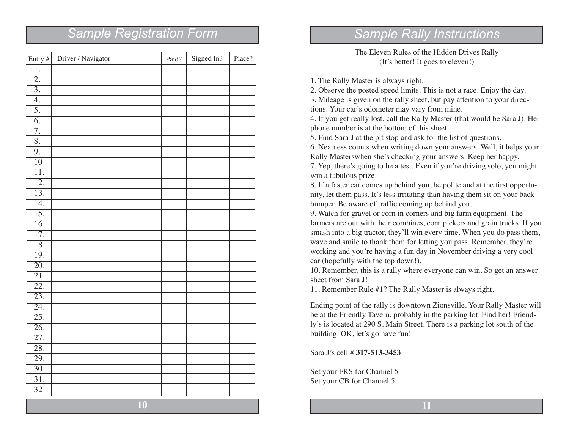| Entry $#$         | Driver / Navigator | Paid? | Signed In? | Place? |
|-------------------|--------------------|-------|------------|--------|
| ī.                |                    |       |            |        |
| $\overline{2}$ .  |                    |       |            |        |
| $\overline{3}$ .  |                    |       |            |        |
| $\overline{4}$ .  |                    |       |            |        |
| $\overline{5}$ .  |                    |       |            |        |
| $\overline{6}$ .  |                    |       |            |        |
| $\overline{7}$ .  |                    |       |            |        |
| $\overline{8}$ .  |                    |       |            |        |
| 9.                |                    |       |            |        |
| $\overline{10}$   |                    |       |            |        |
| $\overline{11}$ . |                    |       |            |        |
| $\overline{12}$ . |                    |       |            |        |
| $\overline{13}$ . |                    |       |            |        |
| 14.               |                    |       |            |        |
| $\overline{15}$ . |                    |       |            |        |
| $\overline{16}$ . |                    |       |            |        |
| $\overline{17}$ . |                    |       |            |        |
| $\overline{18}$ . |                    |       |            |        |
| 19.               |                    |       |            |        |
| 20.               |                    |       |            |        |
| $\overline{21}$ . |                    |       |            |        |
| $\overline{22}$ . |                    |       |            |        |
| $\overline{23}$ . |                    |       |            |        |
| 24.               |                    |       |            |        |
| $\overline{25}$ . |                    |       |            |        |
| $\overline{26}$ . |                    |       |            |        |
| $\overline{27}$ . |                    |       |            |        |
| $\overline{28}$ . |                    |       |            |        |
| 29.               |                    |       |            |        |
| $\overline{30}$ . |                    |       |            |        |
| 31.               |                    |       |            |        |
| 32                |                    |       |            |        |
| 10                |                    |       |            |        |

## *Sample Registration Form Sample Rally Instructions*

The Eleven Rules of the Hidden Drives Rally (It's better! It goes to eleven!)

1. The Rally Master is always right.

2. Observe the posted speed limits. This is not a race. Enjoy the day. 3. Mileage is given on the rally sheet, but pay attention to your direc-

tions. Your car's odometer may vary from mine.

4. If you get really lost, call the Rally Master (that would be Sara J). Her phone number is at the bottom of this sheet.

5. Find Sara J at the pit stop and ask for the list of questions.

6. Neatness counts when writing down your answers. Well, it helps your Rally Masterswhen she's checking your answers. Keep her happy.

7. Yep, there's going to be a test. Even if you're driving solo, you might win a fabulous prize.

8. If a faster car comes up behind you, be polite and at the first opportunity, let them pass. It's less irritating than having them sit on your back bumper. Be aware of traffic coming up behind you.

9. Watch for gravel or corn in corners and big farm equipment. The farmers are out with their combines, corn pickers and grain trucks. If you smash into a big tractor, they'll win every time. When you do pass them, wave and smile to thank them for letting you pass. Remember, they're working and you're having a fun day in November driving a very cool car (hopefully with the top down!).

10. Remember, this is a rally where everyone can win. So get an answer sheet from Sara J!

11. Remember Rule #1? The Rally Master is always right.

Ending point of the rally is downtown Zionsville. Your Rally Master will be at the Friendly Tavern, probably in the parking lot. Find her! Friendly's is located at 290 S. Main Street. There is a parking lot south of the building. OK, let's go have fun!

Sara J's cell # **317-513-3453**.

Set your FRS for Channel 5 Set your CB for Channel 5.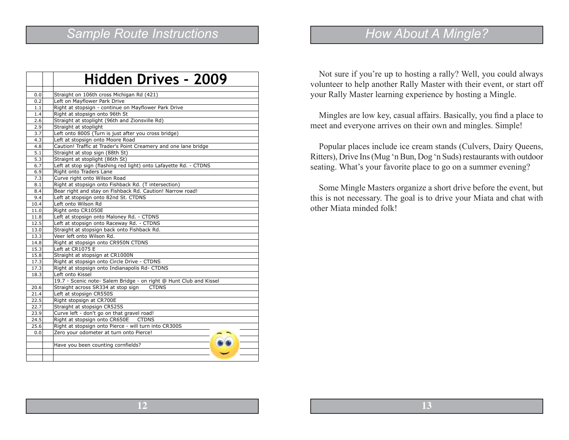## *Sample Route Instructions*

|      | <b>Hidden Drives - 2009</b>                                        |  |  |  |
|------|--------------------------------------------------------------------|--|--|--|
|      |                                                                    |  |  |  |
| 0.0  | Straight on 106th cross Michigan Rd (421)                          |  |  |  |
| 0.2  | Left on Mayflower Park Drive                                       |  |  |  |
| 1.1  | Right at stopsign - continue on Mayflower Park Drive               |  |  |  |
| 1.4  | Right at stopsign onto 96th St                                     |  |  |  |
| 2.6  | Straight at stoplight (96th and Zionsville Rd)                     |  |  |  |
| 2.9  | Straight at stoplight                                              |  |  |  |
| 3.7  | Left onto 800S (Turn is just after you cross bridge)               |  |  |  |
| 4.3  | Left at stopsign onto Moore Road                                   |  |  |  |
| 4.8  | Caution! Traffic at Trader's Point Creamery and one lane bridge    |  |  |  |
| 5.1  | Straight at stop sign (88th St)                                    |  |  |  |
| 5.3  | Straignt at stoplight (86th St)                                    |  |  |  |
| 6.7  | Left at stop sign (flashing red light) onto Lafayette Rd. - CTDNS  |  |  |  |
| 6.9  | Right onto Traders Lane                                            |  |  |  |
| 7.3  | Curve right onto Wilson Road                                       |  |  |  |
| 8.1  | Right at stopsign onto Fishback Rd. (T intersection)               |  |  |  |
| 8.4  | Bear right and stay on Fishback Rd. Caution! Narrow road!          |  |  |  |
| 9.4  | Left at stopsign onto 82nd St. CTDNS                               |  |  |  |
| 10.4 | Left onto Wilson Rd                                                |  |  |  |
| 11.0 | Right onto CR1050E                                                 |  |  |  |
| 11.8 | Left at stopsign onto Maloney Rd. - CTDNS                          |  |  |  |
| 12.5 | Left at stopsign onto Raceway Rd. - CTDNS                          |  |  |  |
| 13.0 | Straight at stopsign back onto Fishback Rd.                        |  |  |  |
| 13.3 | Veer left onto Wilson Rd.                                          |  |  |  |
| 14.8 | Right at stopsign onto CR950N CTDNS                                |  |  |  |
| 15.3 | Left at CR1075 E                                                   |  |  |  |
| 15.8 | Straight at stopsign at CR1000N                                    |  |  |  |
| 17.3 | Right at stopsign onto Circle Drive - CTDNS                        |  |  |  |
| 17.3 | Right at stopsign onto Indianapolis Rd- CTDNS                      |  |  |  |
| 18.3 | Left onto Kissel                                                   |  |  |  |
|      | 19.7 - Scenic note- Salem Bridge - on right @ Hunt Club and Kissel |  |  |  |
| 20.6 | Straight across SR334 at stop sign<br><b>CTDNS</b>                 |  |  |  |
| 21.4 | Left at stopsign CR550S                                            |  |  |  |
| 22.5 | Right stopsign at CR700E                                           |  |  |  |
| 22.7 | Straight at stopsign CR525S                                        |  |  |  |
| 23.9 | Curve left - don't go on that gravel road!                         |  |  |  |
| 24.5 | Right at stopsign onto CR650E CTDNS                                |  |  |  |
| 25.6 | Right at stopsign onto Pierce - will turn into CR300S              |  |  |  |
| 0.0  | Zero your odometer at turn onto Pierce!                            |  |  |  |
|      |                                                                    |  |  |  |
|      | Have you been counting cornfields?                                 |  |  |  |
|      |                                                                    |  |  |  |
|      |                                                                    |  |  |  |

## *How About A Mingle?*

Not sure if you're up to hosting a rally? Well, you could always volunteer to help another Rally Master with their event, or start off your Rally Master learning experience by hosting a Mingle.

Mingles are low key, casual affairs. Basically, you find a place to meet and everyone arrives on their own and mingles. Simple!

Popular places include ice cream stands (Culvers, Dairy Queens, Ritters), Drive Ins (Mug 'n Bun, Dog 'n Suds) restaurants with outdoor seating. What's your favorite place to go on a summer evening?

Some Mingle Masters organize a short drive before the event, but this is not necessary. The goal is to drive your Miata and chat with other Miata minded folk!